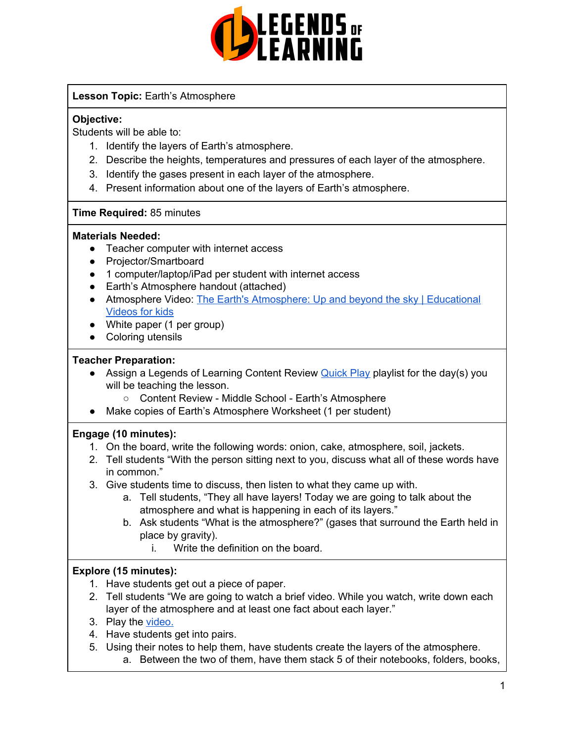

# **Lesson Topic:** Earth's Atmosphere

# **Objective:**

Students will be able to:

- 1. Identify the layers of Earth's atmosphere.
- 2. Describe the heights, temperatures and pressures of each layer of the atmosphere.
- 3. Identify the gases present in each layer of the atmosphere.
- 4. Present information about one of the layers of Earth's atmosphere.

#### **Time Required:** 85 minutes

#### **Materials Needed:**

- Teacher computer with internet access
- Projector/Smartboard
- 1 computer/laptop/iPad per student with internet access
- Earth's Atmosphere handout (attached)
- Atmosphere Video: The Earth's [Atmosphere:](https://www.youtube.com/watch?v=LGvcwk5d-zM) Up and beyond the sky | Educational [Videos](https://www.youtube.com/watch?v=LGvcwk5d-zM) for kids
- White paper (1 per group)
- Coloring utensils

#### **Teacher Preparation:**

- Assign a Legends of Learning Content Review [Quick](https://intercom.help/legends-of-learning/en/articles/2701866-assigning-a-quick-play-playlist) Play playlist for the day(s) you will be teaching the lesson.
	- Content Review Middle School Earth's Atmosphere
- Make copies of Earth's Atmosphere Worksheet (1 per student)

#### **Engage (10 minutes):**

- 1. On the board, write the following words: onion, cake, atmosphere, soil, jackets.
- 2. Tell students "With the person sitting next to you, discuss what all of these words have in common."
- 3. Give students time to discuss, then listen to what they came up with.
	- a. Tell students, "They all have layers! Today we are going to talk about the atmosphere and what is happening in each of its layers."
	- b. Ask students "What is the atmosphere?" (gases that surround the Earth held in place by gravity).
		- i. Write the definition on the board.

# **Explore (15 minutes):**

- 1. Have students get out a piece of paper.
- 2. Tell students "We are going to watch a brief video. While you watch, write down each layer of the atmosphere and at least one fact about each layer."
- 3. Play the [video.](https://www.youtube.com/watch?v=LGvcwk5d-zM)
- 4. Have students get into pairs.
- 5. Using their notes to help them, have students create the layers of the atmosphere. a. Between the two of them, have them stack 5 of their notebooks, folders, books,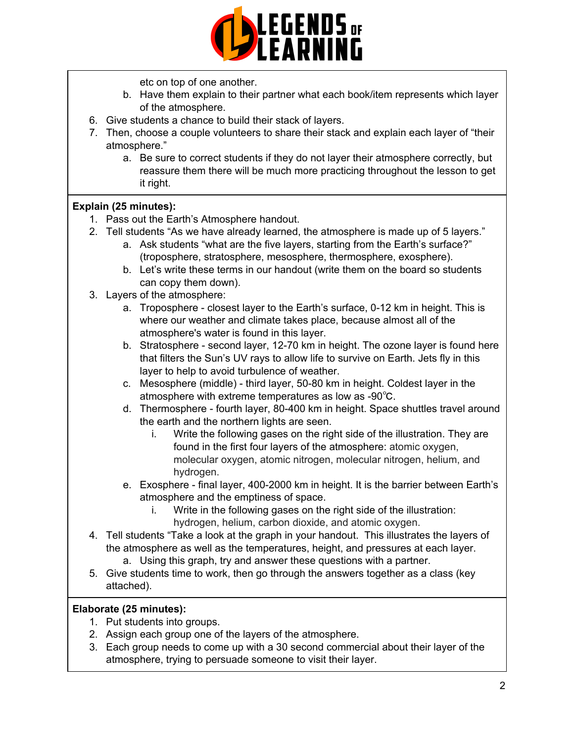

etc on top of one another.

- b. Have them explain to their partner what each book/item represents which layer of the atmosphere.
- 6. Give students a chance to build their stack of layers.
- 7. Then, choose a couple volunteers to share their stack and explain each layer of "their atmosphere."
	- a. Be sure to correct students if they do not layer their atmosphere correctly, but reassure them there will be much more practicing throughout the lesson to get it right.

# **Explain (25 minutes):**

- 1. Pass out the Earth's Atmosphere handout.
- 2. Tell students "As we have already learned, the atmosphere is made up of 5 layers."
	- a. Ask students "what are the five layers, starting from the Earth's surface?" (troposphere, stratosphere, mesosphere, thermosphere, exosphere).
	- b. Let's write these terms in our handout (write them on the board so students can copy them down).
- 3. Layers of the atmosphere:
	- a. Troposphere closest layer to the Earth's surface, 0-12 km in height. This is where our weather and climate takes place, because almost all of the atmosphere's water is found in this layer.
	- b. Stratosphere second layer, 12-70 km in height. The ozone layer is found here that filters the Sun's UV rays to allow life to survive on Earth. Jets fly in this layer to help to avoid turbulence of weather.
	- c. Mesosphere (middle) third layer, 50-80 km in height. Coldest layer in the atmosphere with extreme temperatures as low as -90℃.
	- d. Thermosphere fourth layer, 80-400 km in height. Space shuttles travel around the earth and the northern lights are seen.
		- i. Write the following gases on the right side of the illustration. They are found in the first four layers of the atmosphere: atomic oxygen, molecular oxygen, atomic nitrogen, molecular nitrogen, helium, and hydrogen.
	- e. Exosphere final layer, 400-2000 km in height. It is the barrier between Earth's atmosphere and the emptiness of space.
		- i. Write in the following gases on the right side of the illustration: hydrogen, helium, carbon dioxide, and atomic oxygen.
- 4. Tell students "Take a look at the graph in your handout. This illustrates the layers of the atmosphere as well as the temperatures, height, and pressures at each layer.
	- a. Using this graph, try and answer these questions with a partner.
- 5. Give students time to work, then go through the answers together as a class (key attached).

# **Elaborate (25 minutes):**

- 1. Put students into groups.
- 2. Assign each group one of the layers of the atmosphere.
- 3. Each group needs to come up with a 30 second commercial about their layer of the atmosphere, trying to persuade someone to visit their layer.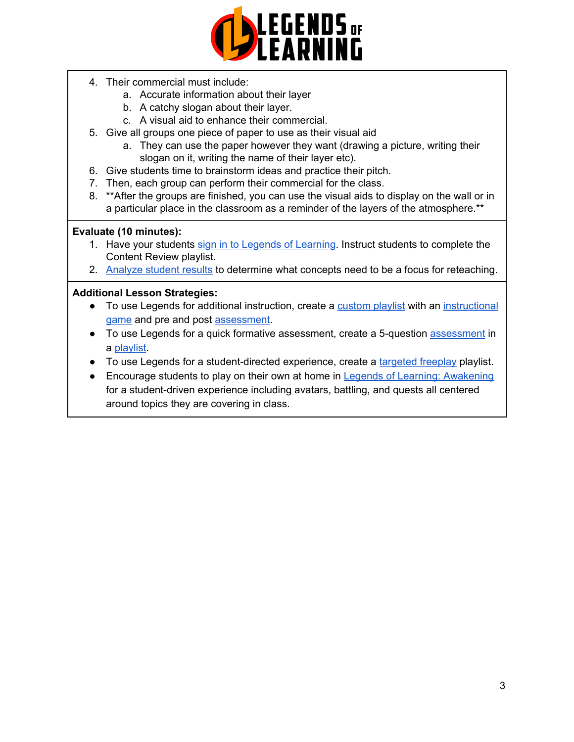

- 4. Their commercial must include:
	- a. Accurate information about their layer
	- b. A catchy slogan about their layer.
	- c. A visual aid to enhance their commercial.
- 5. Give all groups one piece of paper to use as their visual aid
	- a. They can use the paper however they want (drawing a picture, writing their slogan on it, writing the name of their layer etc).
- 6. Give students time to brainstorm ideas and practice their pitch.
- 7. Then, each group can perform their commercial for the class.
- 8. \*\* After the groups are finished, you can use the visual aids to display on the wall or in a particular place in the classroom as a reminder of the layers of the atmosphere.\*\*

#### **Evaluate (10 minutes):**

- 1. Have your students sign in to Legends of [Learning](https://intercom.help/legends-of-learning/en/articles/2154920-students-joining-a-playlist). Instruct students to complete the Content Review playlist.
- 2. [Analyze](https://intercom.help/legends-of-learning/en/articles/2154918-tracking-student-progress-and-performance) student results to determine what concepts need to be a focus for reteaching.

#### **Additional Lesson Strategies:**

- To use Legends for additional instruction, create a [custom](https://intercom.help/legends-of-learning/en/articles/2154910-creating-a-playlist) playlist with an [instructional](https://intercom.help/legends-of-learning/en/articles/3505828-types-of-games) [game](https://intercom.help/legends-of-learning/en/articles/3505828-types-of-games) and pre and post [assessment](https://intercom.help/legends-of-learning/en/articles/2154913-adding-assessments-to-a-playlist).
- To use Legends for a quick formative [assessment](https://intercom.help/legends-of-learning/en/articles/2154913-adding-assessments-to-a-playlist), create a 5-question assessment in a [playlist](https://intercom.help/legends-of-learning/en/articles/2154910-creating-a-playlist).
- To use Legends for a student-directed experience, create a [targeted](https://intercom.help/legends-of-learning/en/articles/3340814-targeted-freeplay) freeplay playlist.
- Encourage students to play on their own at home in Legends of Learning: [Awakening](https://intercom.help/legends-of-learning/en/articles/2425490-legends-of-learning-awakening) for a student-driven experience including avatars, battling, and quests all centered around topics they are covering in class.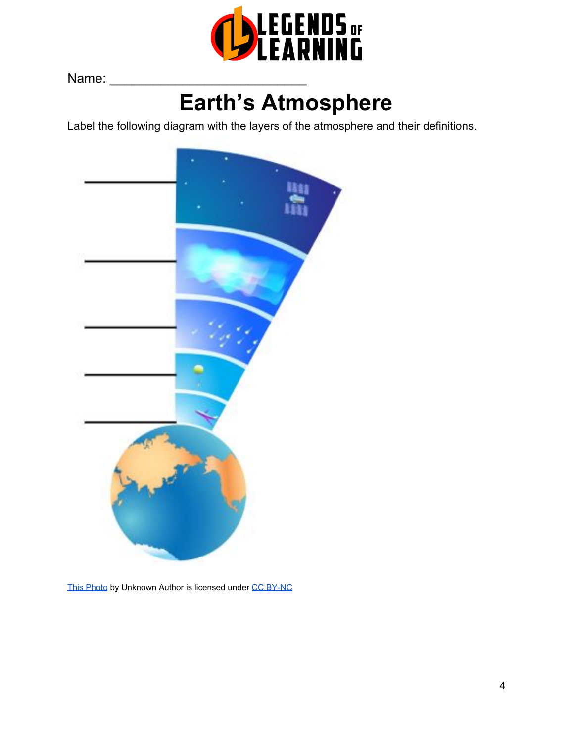

Name:

# **Earth's Atmosphere**

Label the following diagram with the layers of the atmosphere and their definitions.



[This Photo](https://futurism.com/where-does-earth-end-and-space-begin/) by Unknown Autho[r](https://creativecommons.org/licenses/by-nc/3.0/) is licensed under [CC BY-NC](https://creativecommons.org/licenses/by-nc/3.0/)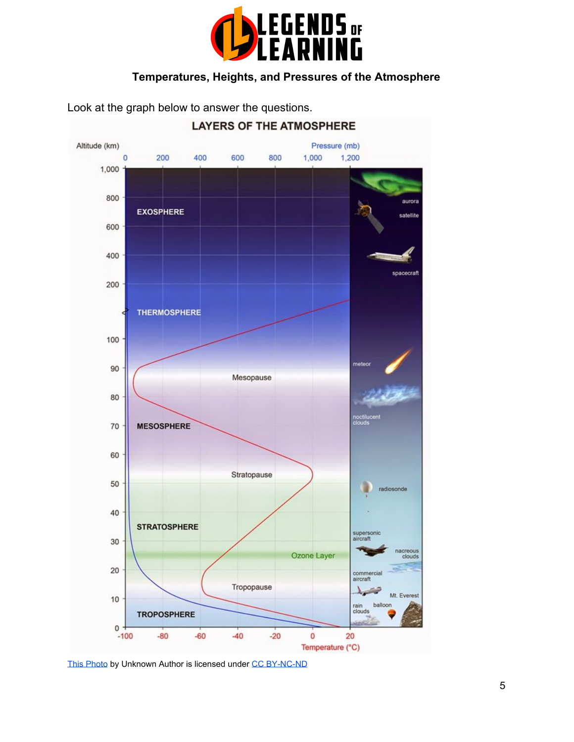

# **Temperatures, Heights, and Pressures of the Atmosphere**

Look at the graph below to answer the questions.



[This Photo](http://www.geologypage.com/2014/05/earths-magnetic-field-is-important-for.html) by Unknown Author is licensed unde[r](https://creativecommons.org/licenses/by-nc-nd/3.0/) [CC BY-NC-ND](https://creativecommons.org/licenses/by-nc-nd/3.0/)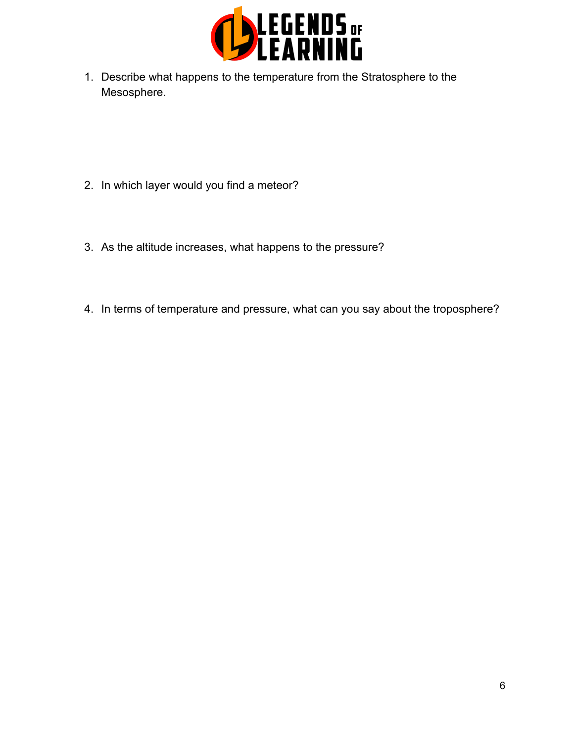

1. Describe what happens to the temperature from the Stratosphere to the Mesosphere.

- 2. In which layer would you find a meteor?
- 3. As the altitude increases, what happens to the pressure?
- 4. In terms of temperature and pressure, what can you say about the troposphere?